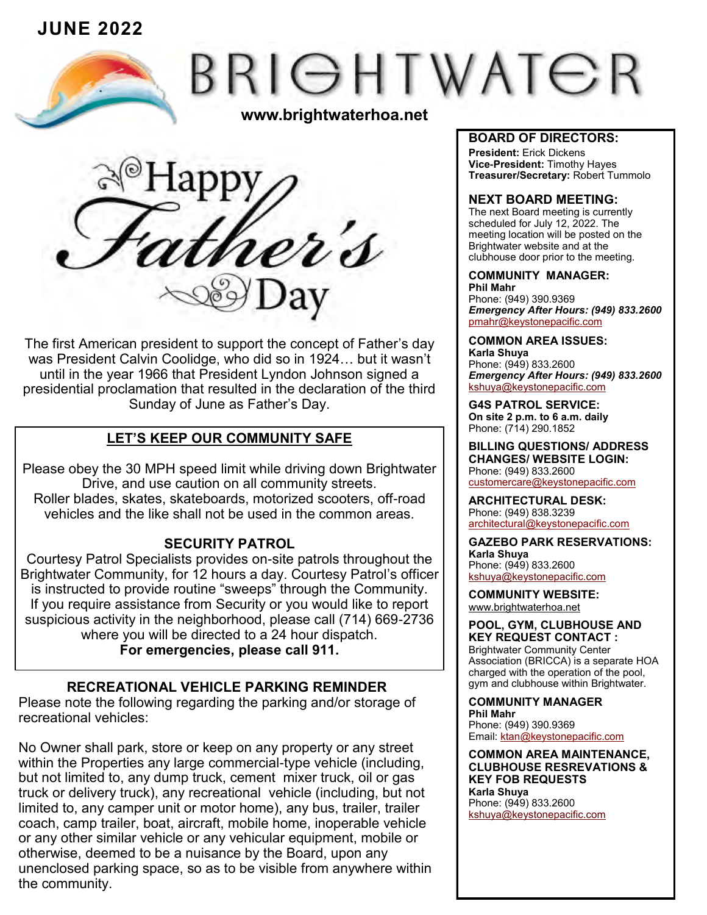**JUNE 2022**

# BRIGHTWATER

**www.brightwaterhoa.net**



The first American president to support the concept of Father's day was President Calvin Coolidge, who did so in 1924… but it wasn't until in the year 1966 that President Lyndon Johnson signed a presidential proclamation that resulted in the declaration of the third Sunday of June as Father's Day.

# **LET'S KEEP OUR COMMUNITY SAFE**

Please obey the 30 MPH speed limit while driving down Brightwater Drive, and use caution on all community streets. Roller blades, skates, skateboards, motorized scooters, off-road vehicles and the like shall not be used in the common areas.

# **SECURITY PATROL**

Courtesy Patrol Specialists provides on-site patrols throughout the Brightwater Community, for 12 hours a day. Courtesy Patrol's officer is instructed to provide routine "sweeps" through the Community. If you require assistance from Security or you would like to report suspicious activity in the neighborhood, please call (714) 669-2736 where you will be directed to a 24 hour dispatch. **For emergencies, please call 911.**

# **RECREATIONAL VEHICLE PARKING REMINDER**

Please note the following regarding the parking and/or storage of recreational vehicles:

No Owner shall park, store or keep on any property or any street within the Properties any large commercial-type vehicle (including, but not limited to, any dump truck, cement mixer truck, oil or gas truck or delivery truck), any recreational vehicle (including, but not limited to, any camper unit or motor home), any bus, trailer, trailer coach, camp trailer, boat, aircraft, mobile home, inoperable vehicle or any other similar vehicle or any vehicular equipment, mobile or otherwise, deemed to be a nuisance by the Board, upon any unenclosed parking space, so as to be visible from anywhere within the community.

#### **BOARD OF DIRECTORS:**

**President:** Erick Dickens **Vice-President:** Timothy Hayes **Treasurer/Secretary:** Robert Tummolo

## **NEXT BOARD MEETING:**

The next Board meeting is currently scheduled for July 12, 2022. The meeting location will be posted on the Brightwater website and at the clubhouse door prior to the meeting.

### **COMMUNITY MANAGER:**

**Phil Mahr** Phone: (949) 390.9369 *Emergency After Hours: (949) 833.2600* pmahr[@keystonepacific.com](mailto:asoto@keystonepacific.com) 

**COMMON AREA ISSUES: Karla Shuya** Phone: (949) 833.2600 *Emergency After Hours: (949) 833.2600* kshuya[@keystonepacific.com](mailto:lcruz@keystonepacific.com)

**G4S PATROL SERVICE: On site 2 p.m. to 6 a.m. daily** Phone: (714) 290.1852

**BILLING QUESTIONS/ ADDRESS CHANGES/ WEBSITE LOGIN:** Phone: (949) 833.2600 [customercare@keystonepacific.com](mailto:customercare@keystonepacific.com)

**ARCHITECTURAL DESK:** Phone: (949) 838.3239 [architectural@keystonepacific.com](mailto:architectural@keystonepacific.com)

**GAZEBO PARK RESERVATIONS: Karla Shuya** Phone: (949) 833.2600 kshuya[@keystonepacific.com](mailto:lcruz@keystonepacific.com)

**COMMUNITY WEBSITE:** [www.brightwaterhoa.net](http://www.brightwaterhoa.net) 

**POOL, GYM, CLUBHOUSE AND KEY REQUEST CONTACT :** Brightwater Community Center Association (BRICCA) is a separate HOA charged with the operation of the pool, gym and clubhouse within Brightwater.

**COMMUNITY MANAGER Phil Mahr** Phone: (949) 390.9369 Email: [ktan@keystonepacific.com](mailto:asoto@keystonepacific.com)

**COMMON AREA MAINTENANCE, CLUBHOUSE RESREVATIONS & KEY FOB REQUESTS Karla Shuya** Phone: (949) 833.2600 kshuya[@keystonepacific.com](mailto:lcruz@keystonepacific.com)